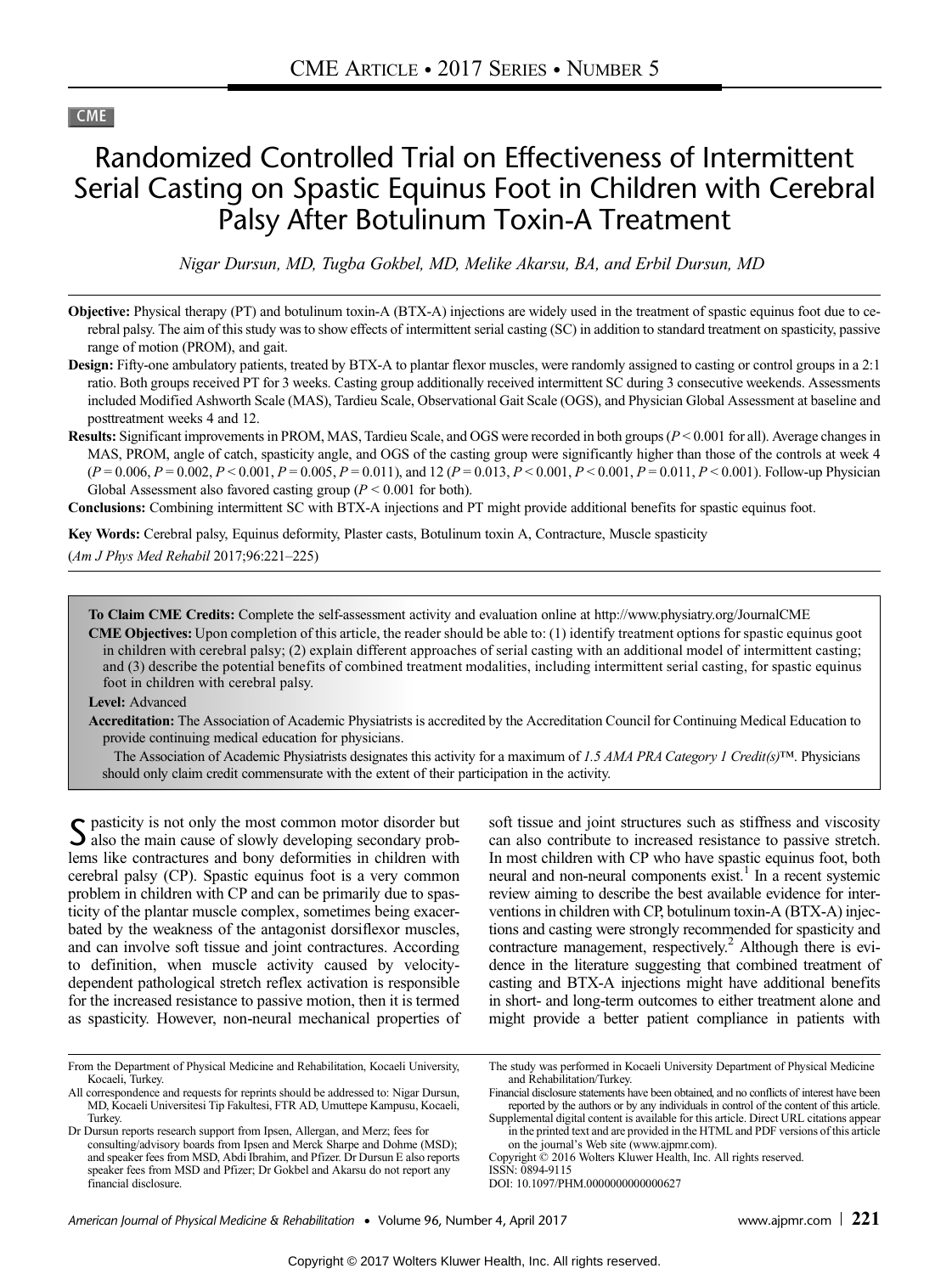# **CME**

# Randomized Controlled Trial on Effectiveness of Intermittent Serial Casting on Spastic Equinus Foot in Children with Cerebral Palsy After Botulinum Toxin-A Treatment

Nigar Dursun, MD, Tugba Gokbel, MD, Melike Akarsu, BA, and Erbil Dursun, MD

- Objective: Physical therapy (PT) and botulinum toxin-A (BTX-A) injections are widely used in the treatment of spastic equinus foot due to cerebral palsy. The aim of this study was to show effects of intermittent serial casting (SC) in addition to standard treatment on spasticity, passive range of motion (PROM), and gait.
- **Design:** Fifty-one ambulatory patients, treated by BTX-A to plantar flexor muscles, were randomly assigned to casting or control groups in a 2:1 ratio. Both groups received PT for 3 weeks. Casting group additionally received intermittent SC during 3 consecutive weekends. Assessments included Modified Ashworth Scale (MAS), Tardieu Scale, Observational Gait Scale (OGS), and Physician Global Assessment at baseline and posttreatment weeks 4 and 12.
- Results: Significant improvements in PROM, MAS, Tardieu Scale, and OGS were recorded in both groups (P < 0.001 for all). Average changes in MAS, PROM, angle of catch, spasticity angle, and OGS of the casting group were significantly higher than those of the controls at week 4  $(P = 0.006, P = 0.002, P < 0.001, P = 0.005, P = 0.011)$ , and 12  $(P = 0.013, P < 0.001, P < 0.001, P = 0.011, P < 0.001)$ . Follow-up Physician Global Assessment also favored casting group ( $P < 0.001$  for both).

Conclusions: Combining intermittent SC with BTX-A injections and PT might provide additional benefits for spastic equinus foot.

Key Words: Cerebral palsy, Equinus deformity, Plaster casts, Botulinum toxin A, Contracture, Muscle spasticity

(Am J Phys Med Rehabil 2017;96:221–225)

To Claim CME Credits: Complete the self-assessment activity and evaluation online at<http://www.physiatry.org/JournalCME>

CME Objectives: Upon completion of this article, the reader should be able to: (1) identify treatment options for spastic equinus goot in children with cerebral palsy; (2) explain different approaches of serial casting with an additional model of intermittent casting; and (3) describe the potential benefits of combined treatment modalities, including intermittent serial casting, for spastic equinus foot in children with cerebral palsy.

#### Level: Advanced

Accreditation: The Association of Academic Physiatrists is accredited by the Accreditation Council for Continuing Medical Education to provide continuing medical education for physicians.

The Association of Academic Physiatrists designates this activity for a maximum of 1.5 AMA PRA Category 1 Credit(s)™. Physicians should only claim credit commensurate with the extent of their participation in the activity.

S pasticity is not only the most common motor disorder but<br>also the main cause of slowly developing secondary problems like contractures and bony deformities in children with cerebral palsy (CP). Spastic equinus foot is a very common problem in children with CP and can be primarily due to spasticity of the plantar muscle complex, sometimes being exacerbated by the weakness of the antagonist dorsiflexor muscles, and can involve soft tissue and joint contractures. According to definition, when muscle activity caused by velocitydependent pathological stretch reflex activation is responsible for the increased resistance to passive motion, then it is termed as spasticity. However, non-neural mechanical properties of soft tissue and joint structures such as stiffness and viscosity can also contribute to increased resistance to passive stretch. In most children with CP who have spastic equinus foot, both neural and non-neural components exist.<sup>1</sup> In a recent systemic review aiming to describe the best available evidence for interventions in children with CP, botulinum toxin-A (BTX-A) injections and casting were strongly recommended for spasticity and contracture management, respectively.<sup>2</sup> Although there is evidence in the literature suggesting that combined treatment of casting and BTX-A injections might have additional benefits in short- and long-term outcomes to either treatment alone and might provide a better patient compliance in patients with

From the Department of Physical Medicine and Rehabilitation, Kocaeli University, Kocaeli, Turkey.

All correspondence and requests for reprints should be addressed to: Nigar Dursun, MD, Kocaeli Universitesi Tip Fakultesi, FTR AD, Umuttepe Kampusu, Kocaeli, Turkey.

Dr Dursun reports research support from Ipsen, Allergan, and Merz; fees for consulting/advisory boards from Ipsen and Merck Sharpe and Dohme (MSD); and speaker fees from MSD, Abdi Ibrahim, and Pfizer. Dr Dursun E also reports speaker fees from MSD and Pfizer; Dr Gokbel and Akarsu do not report any financial disclosure.

The study was performed in Kocaeli University Department of Physical Medicine and Rehabilitation/Turkey.

Financial disclosure statements have been obtained, and no conflicts of interest have been reported by the authors or by any individuals in control of the content of this article.

Supplemental digital content is available for this article. Direct URL citations appear in the printed text and are provided in the HTML and PDF versions of this article on the journal's Web site [\(www.ajpmr.com\)](http://www.ajpmr.com).

Copyright © 2016 Wolters Kluwer Health, Inc. All rights reserved.

ISSN: 0894-9115

DOI: 10.1097/PHM.0000000000000627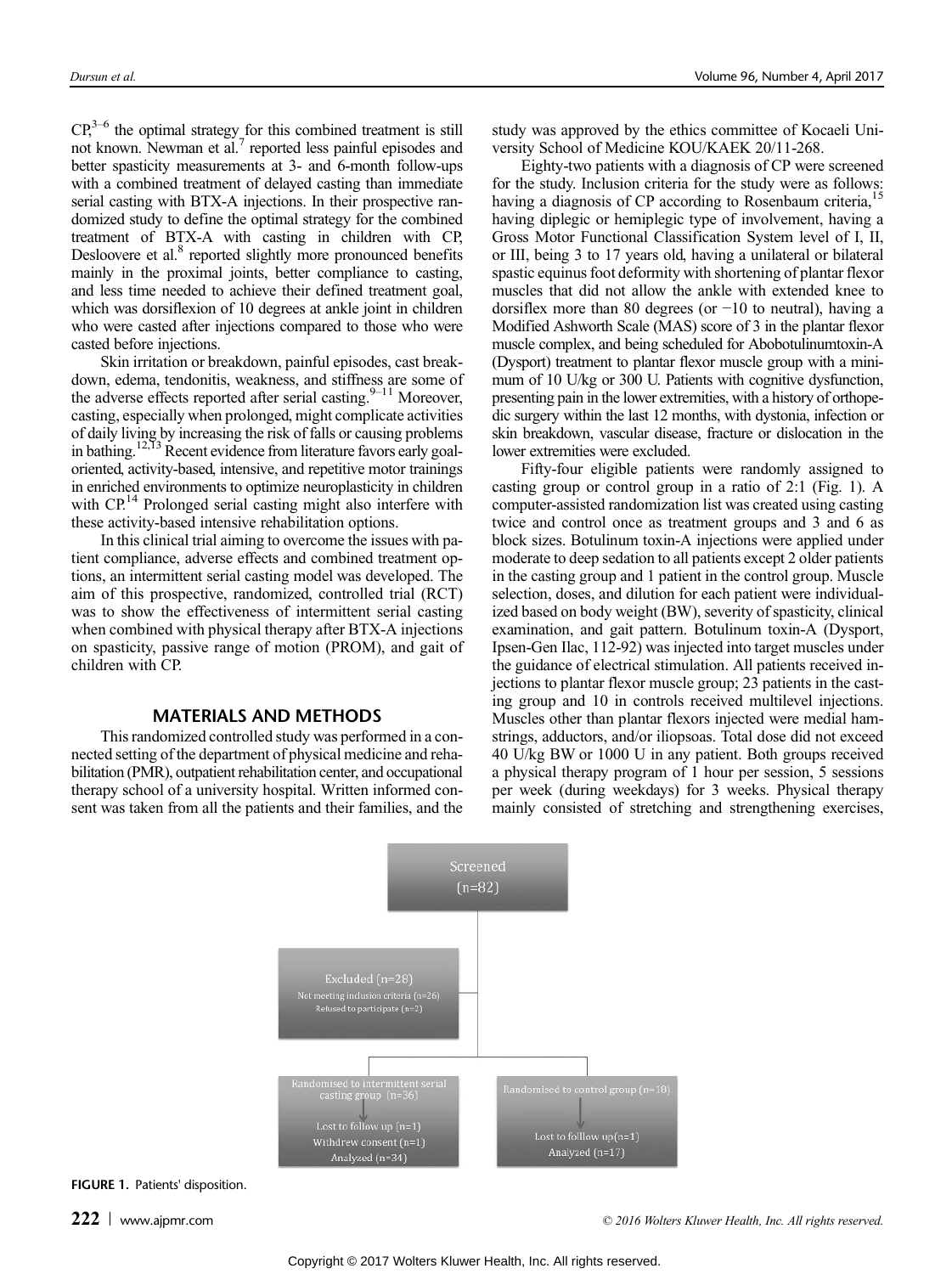$CP<sub>1</sub><sup>3–6</sup>$  the optimal strategy for this combined treatment is still not known. Newman et al.<sup>7</sup> reported less painful episodes and better spasticity measurements at 3- and 6-month follow-ups with a combined treatment of delayed casting than immediate serial casting with BTX-A injections. In their prospective randomized study to define the optimal strategy for the combined treatment of BTX-A with casting in children with CP, Desloovere et al.<sup>8</sup> reported slightly more pronounced benefits mainly in the proximal joints, better compliance to casting, and less time needed to achieve their defined treatment goal, which was dorsiflexion of 10 degrees at ankle joint in children who were casted after injections compared to those who were casted before injections.

Skin irritation or breakdown, painful episodes, cast breakdown, edema, tendonitis, weakness, and stiffness are some of the adverse effects reported after serial casting. $9-11$  Moreover, casting, especially when prolonged, might complicate activities of daily living by increasing the risk of falls or causing problems in bathing.<sup>12,13</sup> Recent evidence from literature favors early goaloriented, activity-based, intensive, and repetitive motor trainings in enriched environments to optimize neuroplasticity in children with CP.<sup>14</sup> Prolonged serial casting might also interfere with these activity-based intensive rehabilitation options.

In this clinical trial aiming to overcome the issues with patient compliance, adverse effects and combined treatment options, an intermittent serial casting model was developed. The aim of this prospective, randomized, controlled trial (RCT) was to show the effectiveness of intermittent serial casting when combined with physical therapy after BTX-A injections on spasticity, passive range of motion (PROM), and gait of children with CP.

# MATERIALS AND METHODS

This randomized controlled study was performed in a connected setting of the department of physical medicine and rehabilitation (PMR), outpatient rehabilitation center, and occupational therapy school of a university hospital. Written informed consent was taken from all the patients and their families, and the study was approved by the ethics committee of Kocaeli University School of Medicine KOU/KAEK 20/11-268.

Eighty-two patients with a diagnosis of CP were screened for the study. Inclusion criteria for the study were as follows: having a diagnosis of CP according to Rosenbaum criteria, having diplegic or hemiplegic type of involvement, having a Gross Motor Functional Classification System level of I, II, or III, being 3 to 17 years old, having a unilateral or bilateral spastic equinus foot deformity with shortening of plantar flexor muscles that did not allow the ankle with extended knee to dorsiflex more than 80 degrees (or −10 to neutral), having a Modified Ashworth Scale (MAS) score of 3 in the plantar flexor muscle complex, and being scheduled for Abobotulinumtoxin-A (Dysport) treatment to plantar flexor muscle group with a minimum of 10 U/kg or 300 U. Patients with cognitive dysfunction, presenting pain in the lower extremities, with a history of orthopedic surgery within the last 12 months, with dystonia, infection or skin breakdown, vascular disease, fracture or dislocation in the lower extremities were excluded.

Fifty-four eligible patients were randomly assigned to casting group or control group in a ratio of 2:1 (Fig. 1). A computer-assisted randomization list was created using casting twice and control once as treatment groups and 3 and 6 as block sizes. Botulinum toxin-A injections were applied under moderate to deep sedation to all patients except 2 older patients in the casting group and 1 patient in the control group. Muscle selection, doses, and dilution for each patient were individualized based on body weight (BW), severity of spasticity, clinical examination, and gait pattern. Botulinum toxin-A (Dysport, Ipsen-Gen Ilac, 112-92) was injected into target muscles under the guidance of electrical stimulation. All patients received injections to plantar flexor muscle group; 23 patients in the casting group and 10 in controls received multilevel injections. Muscles other than plantar flexors injected were medial hamstrings, adductors, and/or iliopsoas. Total dose did not exceed 40 U/kg BW or 1000 U in any patient. Both groups received a physical therapy program of 1 hour per session, 5 sessions per week (during weekdays) for 3 weeks. Physical therapy mainly consisted of stretching and strengthening exercises,



FIGURE 1. Patients' disposition.

222 [www.ajpmr.com](http://www.ajpmr.com) **2022** www.ajpmr.com **COLOGIA EXECUTE:** COLOGIA BLACK CONDUCTS Kluwer Health, Inc. All rights reserved.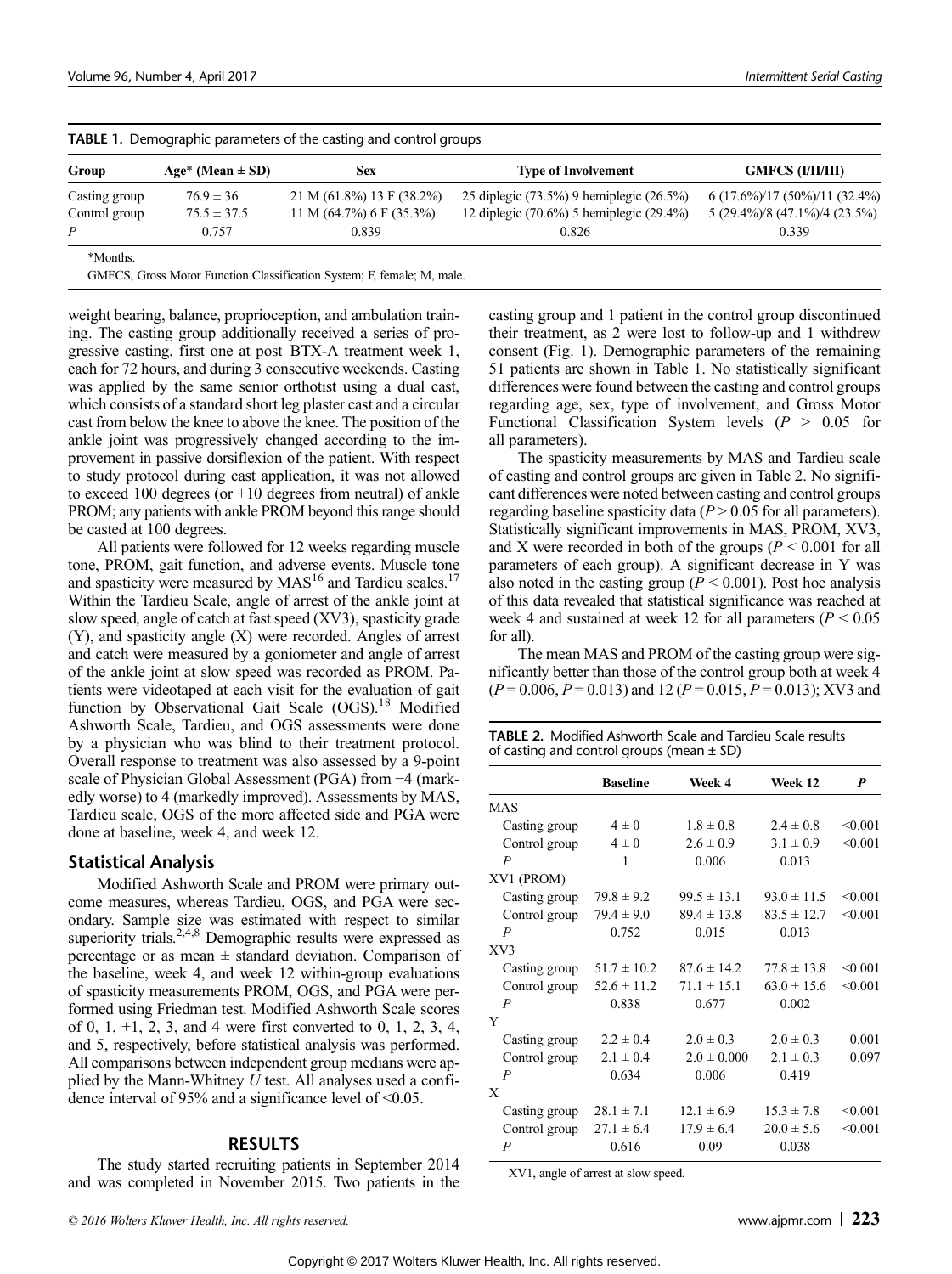| Group         | Age* (Mean $\pm$ SD) | <b>TABLE 1.</b> Defined applied parameters of the casuing and control groups<br>Sex | <b>Type of Involvement</b>                     | <b>GMFCS (I/II/III)</b>         |  |
|---------------|----------------------|-------------------------------------------------------------------------------------|------------------------------------------------|---------------------------------|--|
|               |                      |                                                                                     |                                                |                                 |  |
| Casting group | $76.9 \pm 36$        | $21 M (61.8\%) 13 F (38.2\%)$                                                       | 25 diplegic $(73.5\%)$ 9 hemiplegic $(26.5\%)$ | $6(17.6\%)/17(50\%)/11(32.4\%)$ |  |
| Control group | $75.5 \pm 37.5$      | 11 M $(64.7\%)$ 6 F $(35.3\%)$                                                      | 12 diplegic $(70.6\%)$ 5 hemiplegic $(29.4\%)$ | 5 (29.4%)/8 (47.1%)/4 (23.5%)   |  |
|               | 0.757                | 0.839                                                                               | 0.826                                          | 0.339                           |  |
| *Months.      |                      |                                                                                     |                                                |                                 |  |

| TABLE 1. Demographic parameters of the casting and control groups |  |  |  |
|-------------------------------------------------------------------|--|--|--|
|                                                                   |  |  |  |

GMFCS, Gross Motor Function Classification System; F, female; M, male.

weight bearing, balance, proprioception, and ambulation training. The casting group additionally received a series of progressive casting, first one at post–BTX-A treatment week 1, each for 72 hours, and during 3 consecutive weekends. Casting was applied by the same senior orthotist using a dual cast, which consists of a standard short leg plaster cast and a circular cast from below the knee to above the knee. The position of the ankle joint was progressively changed according to the improvement in passive dorsiflexion of the patient. With respect to study protocol during cast application, it was not allowed to exceed 100 degrees (or  $+10$  degrees from neutral) of ankle PROM; any patients with ankle PROM beyond this range should be casted at 100 degrees.

All patients were followed for 12 weeks regarding muscle tone, PROM, gait function, and adverse events. Muscle tone and spasticity were measured by  $MAS^{16}$  and Tardieu scales.<sup>17</sup> Within the Tardieu Scale, angle of arrest of the ankle joint at slow speed, angle of catch at fast speed (XV3), spasticity grade (Y), and spasticity angle (X) were recorded. Angles of arrest and catch were measured by a goniometer and angle of arrest of the ankle joint at slow speed was recorded as PROM. Patients were videotaped at each visit for the evaluation of gait function by Observational Gait Scale (OGS).<sup>18</sup> Modified Ashworth Scale, Tardieu, and OGS assessments were done by a physician who was blind to their treatment protocol. Overall response to treatment was also assessed by a 9-point scale of Physician Global Assessment (PGA) from −4 (markedly worse) to 4 (markedly improved). Assessments by MAS, Tardieu scale, OGS of the more affected side and PGA were done at baseline, week 4, and week 12.

## Statistical Analysis

Modified Ashworth Scale and PROM were primary outcome measures, whereas Tardieu, OGS, and PGA were secondary. Sample size was estimated with respect to similar superiority trials.<sup>2,4,8</sup> Demographic results were expressed as percentage or as mean  $\pm$  standard deviation. Comparison of the baseline, week 4, and week 12 within-group evaluations of spasticity measurements PROM, OGS, and PGA were performed using Friedman test. Modified Ashworth Scale scores of 0, 1, +1, 2, 3, and 4 were first converted to 0, 1, 2, 3, 4, and 5, respectively, before statistical analysis was performed. All comparisons between independent group medians were applied by the Mann-Whitney  $U$  test. All analyses used a confidence interval of 95% and a significance level of  $\leq 0.05$ .

# **RESULTS**

The study started recruiting patients in September 2014 and was completed in November 2015. Two patients in the

casting group and 1 patient in the control group discontinued their treatment, as 2 were lost to follow-up and 1 withdrew consent (Fig. 1). Demographic parameters of the remaining 51 patients are shown in Table 1. No statistically significant differences were found between the casting and control groups regarding age, sex, type of involvement, and Gross Motor Functional Classification System levels ( $P > 0.05$  for all parameters).

The spasticity measurements by MAS and Tardieu scale of casting and control groups are given in Table 2. No significant differences were noted between casting and control groups regarding baseline spasticity data ( $P > 0.05$  for all parameters). Statistically significant improvements in MAS, PROM, XV3, and X were recorded in both of the groups ( $P \le 0.001$  for all parameters of each group). A significant decrease in Y was also noted in the casting group ( $P < 0.001$ ). Post hoc analysis of this data revealed that statistical significance was reached at week 4 and sustained at week 12 for all parameters ( $P < 0.05$ ) for all).

The mean MAS and PROM of the casting group were significantly better than those of the control group both at week 4  $(P=0.006, P=0.013)$  and 12  $(P=0.015, P=0.013)$ ; XV3 and

| <b>TABLE 2.</b> Modified Ashworth Scale and Tardieu Scale results |
|-------------------------------------------------------------------|
| of casting and control groups (mean $\pm$ SD)                     |

|                | <b>Baseline</b> | Week 4          | Week 12         | P       |
|----------------|-----------------|-----------------|-----------------|---------|
| <b>MAS</b>     |                 |                 |                 |         |
| Casting group  | $4\pm 0$        | $1.8 \pm 0.8$   | $2.4 \pm 0.8$   | < 0.001 |
| Control group  | $4\pm0$         | $2.6 \pm 0.9$   | $3.1 \pm 0.9$   | < 0.001 |
| $\overline{P}$ | 1               | 0.006           | 0.013           |         |
| XV1 (PROM)     |                 |                 |                 |         |
| Casting group  | $79.8 \pm 9.2$  | $99.5 \pm 13.1$ | $93.0 \pm 11.5$ | < 0.001 |
| Control group  | $79.4 \pm 9.0$  | $89.4 \pm 13.8$ | $83.5 \pm 12.7$ | < 0.001 |
| P              | 0.752           | 0.015           | 0.013           |         |
| XV3            |                 |                 |                 |         |
| Casting group  | $51.7 \pm 10.2$ | $87.6 \pm 14.2$ | $77.8 \pm 13.8$ | < 0.001 |
| Control group  | $52.6 \pm 11.2$ | $71.1 \pm 15.1$ | $63.0 \pm 15.6$ | < 0.001 |
| P              | 0.838           | 0.677           | 0.002           |         |
| Y              |                 |                 |                 |         |
| Casting group  | $2.2 \pm 0.4$   | $2.0 \pm 0.3$   | $2.0 \pm 0.3$   | 0.001   |
| Control group  | $2.1 \pm 0.4$   | $2.0 \pm 0.000$ | $2.1 \pm 0.3$   | 0.097   |
| $\overline{P}$ | 0.634           | 0.006           | 0.419           |         |
| X              |                 |                 |                 |         |
| Casting group  | $28.1 \pm 7.1$  | $12.1 \pm 6.9$  | $15.3 \pm 7.8$  | < 0.001 |
| Control group  | $27.1 \pm 6.4$  | $17.9 \pm 6.4$  | $20.0 \pm 5.6$  | < 0.001 |
| $\overline{P}$ | 0.616           | 0.09            | 0.038           |         |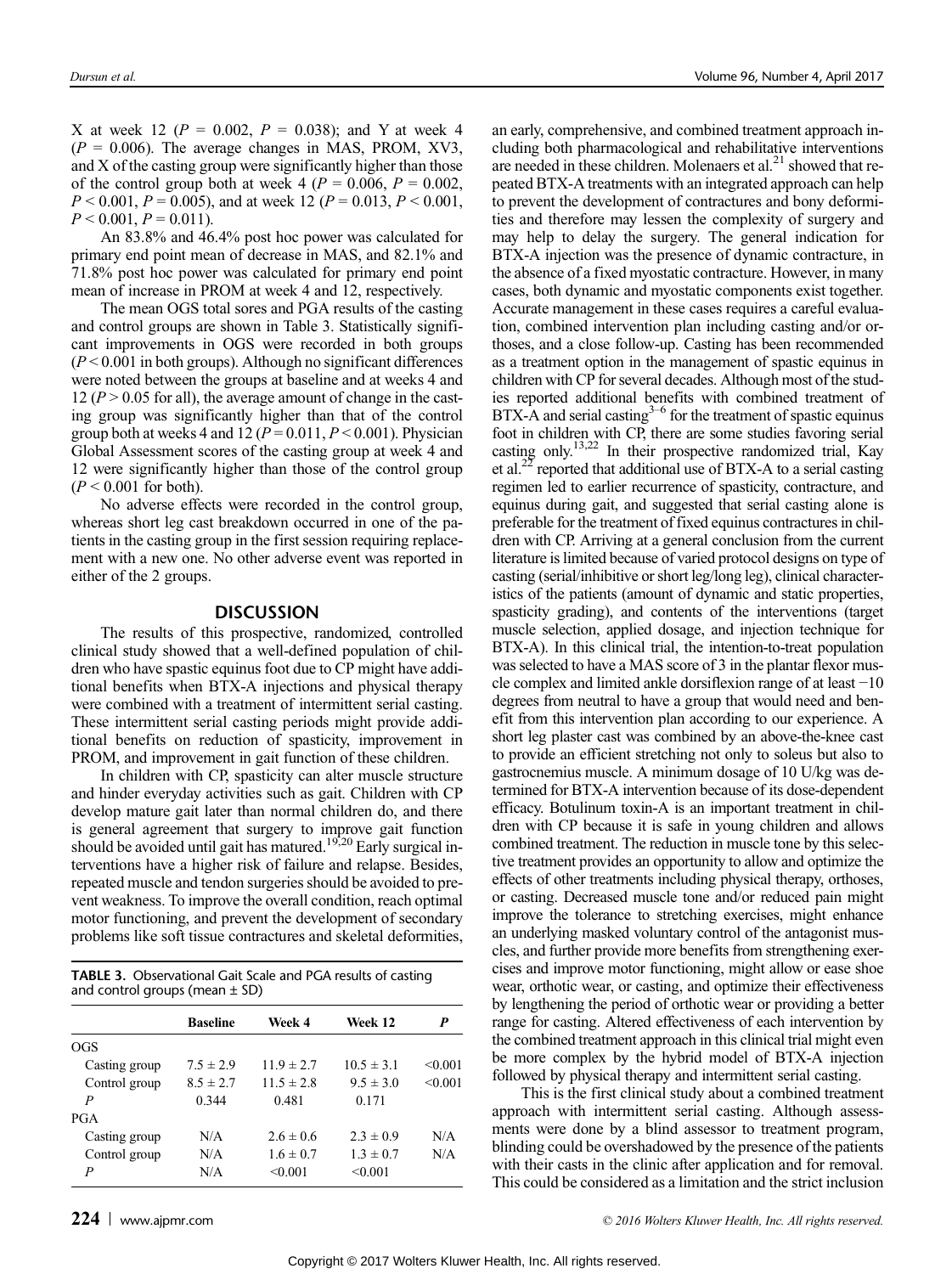X at week 12 ( $P = 0.002$ ,  $P = 0.038$ ); and Y at week 4  $(P = 0.006)$ . The average changes in MAS, PROM, XV3, and X of the casting group were significantly higher than those of the control group both at week 4 ( $P = 0.006$ ,  $P = 0.002$ ,  $P < 0.001$ ,  $P = 0.005$ ), and at week 12 ( $P = 0.013$ ,  $P < 0.001$ ,  $P < 0.001, P = 0.011$ ).

An 83.8% and 46.4% post hoc power was calculated for primary end point mean of decrease in MAS, and 82.1% and 71.8% post hoc power was calculated for primary end point mean of increase in PROM at week 4 and 12, respectively.

The mean OGS total sores and PGA results of the casting and control groups are shown in Table 3. Statistically significant improvements in OGS were recorded in both groups  $(P < 0.001$  in both groups). Although no significant differences were noted between the groups at baseline and at weeks 4 and 12 ( $P > 0.05$  for all), the average amount of change in the casting group was significantly higher than that of the control group both at weeks 4 and  $12 (P = 0.011, P < 0.001)$ . Physician Global Assessment scores of the casting group at week 4 and 12 were significantly higher than those of the control group  $(P < 0.001$  for both).

No adverse effects were recorded in the control group, whereas short leg cast breakdown occurred in one of the patients in the casting group in the first session requiring replacement with a new one. No other adverse event was reported in either of the 2 groups.

# **DISCUSSION**

The results of this prospective, randomized, controlled clinical study showed that a well-defined population of children who have spastic equinus foot due to CP might have additional benefits when BTX-A injections and physical therapy were combined with a treatment of intermittent serial casting. These intermittent serial casting periods might provide additional benefits on reduction of spasticity, improvement in PROM, and improvement in gait function of these children.

In children with CP, spasticity can alter muscle structure and hinder everyday activities such as gait. Children with CP develop mature gait later than normal children do, and there is general agreement that surgery to improve gait function should be avoided until gait has matured.<sup>19,20</sup> Early surgical interventions have a higher risk of failure and relapse. Besides, repeated muscle and tendon surgeries should be avoided to prevent weakness. To improve the overall condition, reach optimal motor functioning, and prevent the development of secondary problems like soft tissue contractures and skeletal deformities,

| <b>TABLE 3.</b> Observational Gait Scale and PGA results of casting<br>and control groups (mean $\pm$ SD) |                 |                |                |         |  |
|-----------------------------------------------------------------------------------------------------------|-----------------|----------------|----------------|---------|--|
|                                                                                                           | <b>Baseline</b> | Week 4         | Week 12        | P       |  |
| OGS                                                                                                       |                 |                |                |         |  |
| Casting group                                                                                             | $7.5 \pm 2.9$   | $11.9 \pm 2.7$ | $10.5 \pm 3.1$ | < 0.001 |  |
| Control group                                                                                             | $8.5 \pm 2.7$   | $11.5 \pm 2.8$ | $9.5 \pm 3.0$  | < 0.001 |  |
| P                                                                                                         | 0.344           | 0.481          | 0.171          |         |  |
| <b>PGA</b>                                                                                                |                 |                |                |         |  |
| Casting group                                                                                             | N/A             | $2.6 \pm 0.6$  | $2.3 \pm 0.9$  | N/A     |  |
| Control group                                                                                             | N/A             | $16 \pm 0.7$   | $1.3 \pm 0.7$  | N/A     |  |
| P                                                                                                         | N/A             | < 0.001        | < 0.001        |         |  |

an early, comprehensive, and combined treatment approach including both pharmacological and rehabilitative interventions are needed in these children. Molenaers et  $al.^{21}$  showed that repeated BTX-A treatments with an integrated approach can help to prevent the development of contractures and bony deformities and therefore may lessen the complexity of surgery and may help to delay the surgery. The general indication for BTX-A injection was the presence of dynamic contracture, in the absence of a fixed myostatic contracture. However, in many cases, both dynamic and myostatic components exist together. Accurate management in these cases requires a careful evaluation, combined intervention plan including casting and/or orthoses, and a close follow-up. Casting has been recommended as a treatment option in the management of spastic equinus in children with CP for several decades. Although most of the studies reported additional benefits with combined treatment of  $BTX-A$  and serial casting<sup>3-6</sup> for the treatment of spastic equinus foot in children with CP, there are some studies favoring serial casting only.<sup>13,22</sup> In their prospective randomized trial, Kay et al.<sup>22</sup> reported that additional use of BTX-A to a serial casting regimen led to earlier recurrence of spasticity, contracture, and equinus during gait, and suggested that serial casting alone is preferable for the treatment of fixed equinus contractures in children with CP. Arriving at a general conclusion from the current literature is limited because of varied protocol designs on type of casting (serial/inhibitive or short leg/long leg), clinical characteristics of the patients (amount of dynamic and static properties, spasticity grading), and contents of the interventions (target muscle selection, applied dosage, and injection technique for BTX-A). In this clinical trial, the intention-to-treat population was selected to have a MAS score of 3 in the plantar flexor muscle complex and limited ankle dorsiflexion range of at least −10 degrees from neutral to have a group that would need and benefit from this intervention plan according to our experience. A short leg plaster cast was combined by an above-the-knee cast to provide an efficient stretching not only to soleus but also to gastrocnemius muscle. A minimum dosage of 10 U/kg was determined for BTX-A intervention because of its dose-dependent efficacy. Botulinum toxin-A is an important treatment in children with CP because it is safe in young children and allows combined treatment. The reduction in muscle tone by this selective treatment provides an opportunity to allow and optimize the effects of other treatments including physical therapy, orthoses, or casting. Decreased muscle tone and/or reduced pain might improve the tolerance to stretching exercises, might enhance an underlying masked voluntary control of the antagonist muscles, and further provide more benefits from strengthening exercises and improve motor functioning, might allow or ease shoe wear, orthotic wear, or casting, and optimize their effectiveness by lengthening the period of orthotic wear or providing a better range for casting. Altered effectiveness of each intervention by the combined treatment approach in this clinical trial might even be more complex by the hybrid model of BTX-A injection followed by physical therapy and intermittent serial casting.

This is the first clinical study about a combined treatment approach with intermittent serial casting. Although assessments were done by a blind assessor to treatment program, blinding could be overshadowed by the presence of the patients with their casts in the clinic after application and for removal. This could be considered as a limitation and the strict inclusion